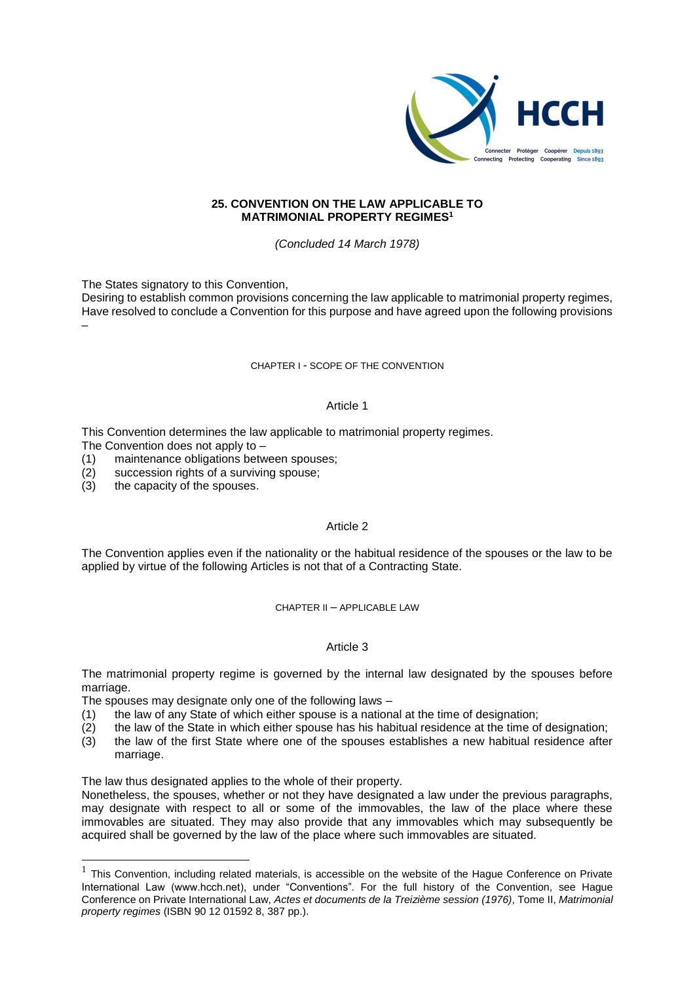

# **25. CONVENTION ON THE LAW APPLICABLE TO MATRIMONIAL PROPERTY REGIMES<sup>1</sup>**

*(Concluded 14 March 1978)* 

The States signatory to this Convention,

Desiring to establish common provisions concerning the law applicable to matrimonial property regimes, Have resolved to conclude a Convention for this purpose and have agreed upon the following provisions –

## CHAPTER I - SCOPE OF THE CONVENTION

## Article 1

This Convention determines the law applicable to matrimonial property regimes.

- The Convention does not apply to  $-$
- (1) maintenance obligations between spouses;
- (2) succession rights of a surviving spouse;
- (3) the capacity of the spouses.

## Article 2

The Convention applies even if the nationality or the habitual residence of the spouses or the law to be applied by virtue of the following Articles is not that of a Contracting State.

CHAPTER II – APPLICABLE LAW

# Article 3

The matrimonial property regime is governed by the internal law designated by the spouses before marriage.

The spouses may designate only one of the following laws -

- (1) the law of any State of which either spouse is a national at the time of designation;
- (2) the law of the State in which either spouse has his habitual residence at the time of designation;
- (3) the law of the first State where one of the spouses establishes a new habitual residence after marriage.

The law thus designated applies to the whole of their property.

Nonetheless, the spouses, whether or not they have designated a law under the previous paragraphs, may designate with respect to all or some of the immovables, the law of the place where these immovables are situated. They may also provide that any immovables which may subsequently be acquired shall be governed by the law of the place where such immovables are situated.

 $1$  This Convention, including related materials, is accessible on the website of the Hague Conference on Private International Law (www.hcch.net), under "Conventions". For the full history of the Convention, see Hague Conference on Private International Law, *Actes et documents de la Treizième session (1976)*, Tome II, *Matrimonial property regimes* (ISBN 90 12 01592 8, 387 pp.).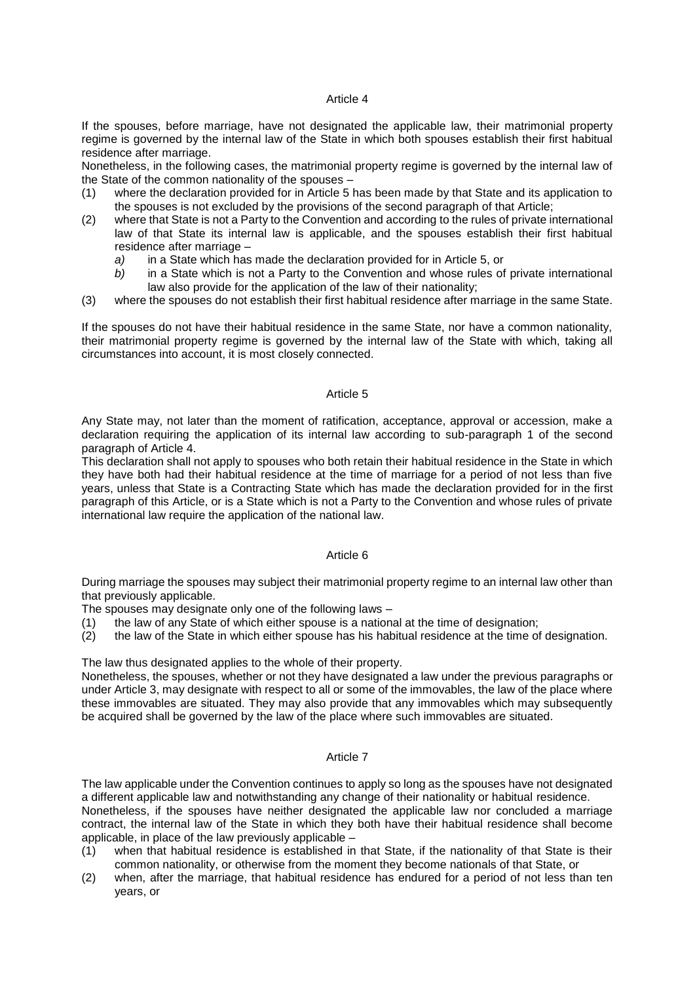## Article 4

If the spouses, before marriage, have not designated the applicable law, their matrimonial property regime is governed by the internal law of the State in which both spouses establish their first habitual residence after marriage.

Nonetheless, in the following cases, the matrimonial property regime is governed by the internal law of the State of the common nationality of the spouses –

- (1) where the declaration provided for in Article 5 has been made by that State and its application to the spouses is not excluded by the provisions of the second paragraph of that Article;
- (2) where that State is not a Party to the Convention and according to the rules of private international law of that State its internal law is applicable, and the spouses establish their first habitual residence after marriage –
	- *a)* in a State which has made the declaration provided for in Article 5, or
	- *b)* in a State which is not a Party to the Convention and whose rules of private international law also provide for the application of the law of their nationality;
- (3) where the spouses do not establish their first habitual residence after marriage in the same State.

If the spouses do not have their habitual residence in the same State, nor have a common nationality, their matrimonial property regime is governed by the internal law of the State with which, taking all circumstances into account, it is most closely connected.

### Article 5

Any State may, not later than the moment of ratification, acceptance, approval or accession, make a declaration requiring the application of its internal law according to sub-paragraph 1 of the second paragraph of Article 4.

This declaration shall not apply to spouses who both retain their habitual residence in the State in which they have both had their habitual residence at the time of marriage for a period of not less than five years, unless that State is a Contracting State which has made the declaration provided for in the first paragraph of this Article, or is a State which is not a Party to the Convention and whose rules of private international law require the application of the national law.

# Article 6

During marriage the spouses may subject their matrimonial property regime to an internal law other than that previously applicable.

The spouses may designate only one of the following laws –

- (1) the law of any State of which either spouse is a national at the time of designation;
- (2) the law of the State in which either spouse has his habitual residence at the time of designation.

The law thus designated applies to the whole of their property.

Nonetheless, the spouses, whether or not they have designated a law under the previous paragraphs or under Article 3, may designate with respect to all or some of the immovables, the law of the place where these immovables are situated. They may also provide that any immovables which may subsequently be acquired shall be governed by the law of the place where such immovables are situated.

## Article 7

The law applicable under the Convention continues to apply so long as the spouses have not designated a different applicable law and notwithstanding any change of their nationality or habitual residence. Nonetheless, if the spouses have neither designated the applicable law nor concluded a marriage contract, the internal law of the State in which they both have their habitual residence shall become applicable, in place of the law previously applicable –

- (1) when that habitual residence is established in that State, if the nationality of that State is their common nationality, or otherwise from the moment they become nationals of that State, or
- (2) when, after the marriage, that habitual residence has endured for a period of not less than ten years, or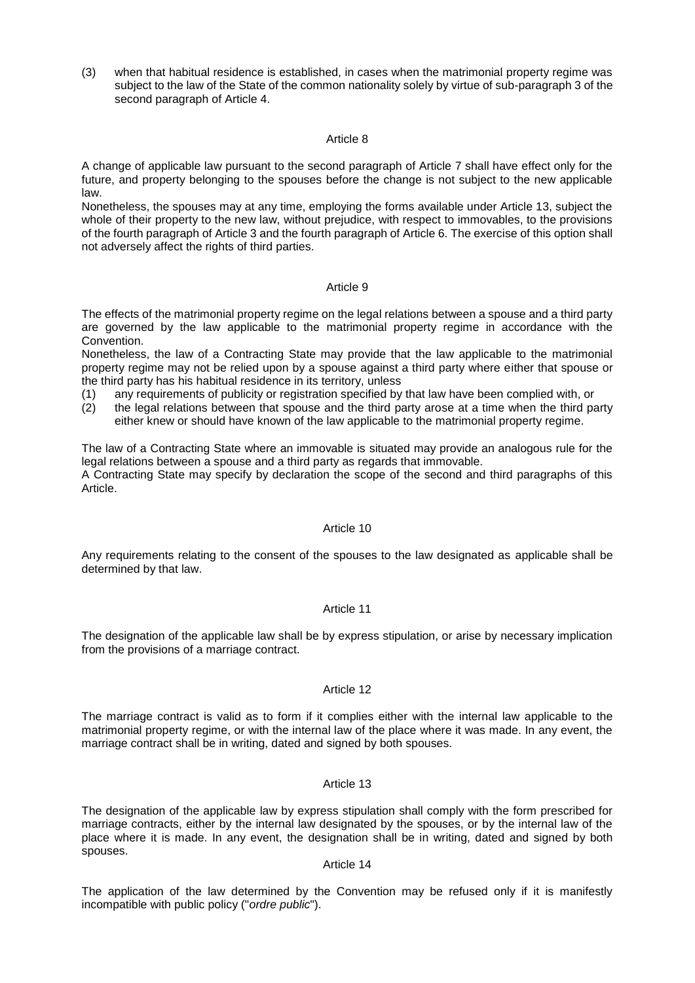(3) when that habitual residence is established, in cases when the matrimonial property regime was subject to the law of the State of the common nationality solely by virtue of sub-paragraph 3 of the second paragraph of Article 4.

# Article 8

A change of applicable law pursuant to the second paragraph of Article 7 shall have effect only for the future, and property belonging to the spouses before the change is not subject to the new applicable law.

Nonetheless, the spouses may at any time, employing the forms available under Article 13, subject the whole of their property to the new law, without prejudice, with respect to immovables, to the provisions of the fourth paragraph of Article 3 and the fourth paragraph of Article 6. The exercise of this option shall not adversely affect the rights of third parties.

## Article 9

The effects of the matrimonial property regime on the legal relations between a spouse and a third party are governed by the law applicable to the matrimonial property regime in accordance with the **Convention** 

Nonetheless, the law of a Contracting State may provide that the law applicable to the matrimonial property regime may not be relied upon by a spouse against a third party where either that spouse or the third party has his habitual residence in its territory, unless

- (1) any requirements of publicity or registration specified by that law have been complied with, or
- (2) the legal relations between that spouse and the third party arose at a time when the third party either knew or should have known of the law applicable to the matrimonial property regime.

The law of a Contracting State where an immovable is situated may provide an analogous rule for the legal relations between a spouse and a third party as regards that immovable.

A Contracting State may specify by declaration the scope of the second and third paragraphs of this Article.

# Article 10

Any requirements relating to the consent of the spouses to the law designated as applicable shall be determined by that law.

## Article 11

The designation of the applicable law shall be by express stipulation, or arise by necessary implication from the provisions of a marriage contract.

# Article 12

The marriage contract is valid as to form if it complies either with the internal law applicable to the matrimonial property regime, or with the internal law of the place where it was made. In any event, the marriage contract shall be in writing, dated and signed by both spouses.

## Article 13

The designation of the applicable law by express stipulation shall comply with the form prescribed for marriage contracts, either by the internal law designated by the spouses, or by the internal law of the place where it is made. In any event, the designation shall be in writing, dated and signed by both spouses.

## Article 14

The application of the law determined by the Convention may be refused only if it is manifestly incompatible with public policy ("*ordre public*").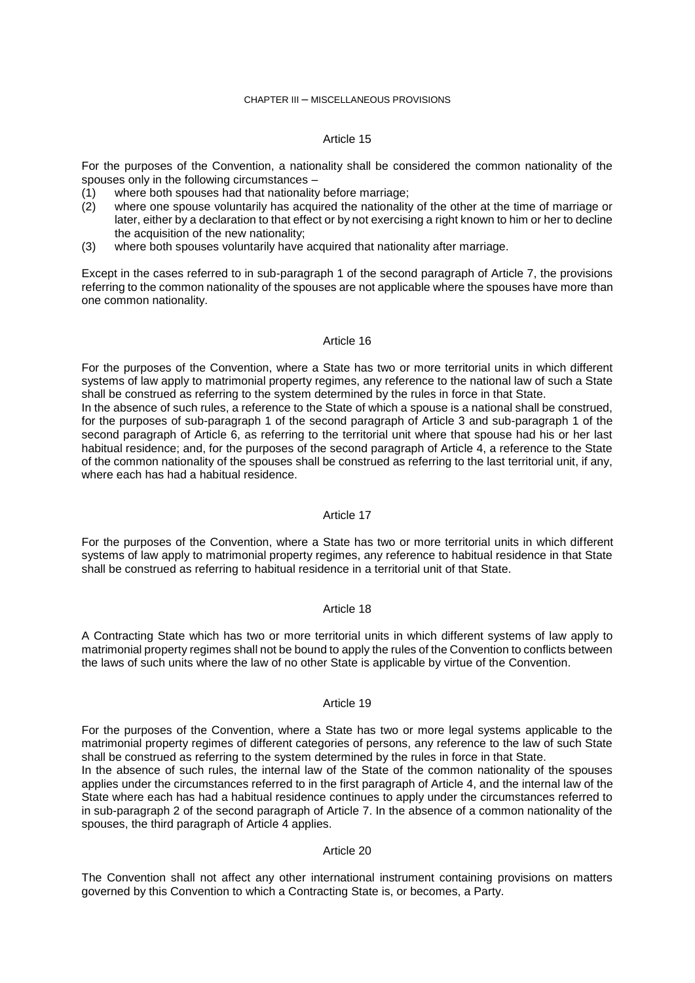### CHAPTER III – MISCELLANEOUS PROVISIONS

#### Article 15

For the purposes of the Convention, a nationality shall be considered the common nationality of the spouses only in the following circumstances –

- (1) where both spouses had that nationality before marriage;
- (2) where one spouse voluntarily has acquired the nationality of the other at the time of marriage or later, either by a declaration to that effect or by not exercising a right known to him or her to decline the acquisition of the new nationality;
- (3) where both spouses voluntarily have acquired that nationality after marriage.

Except in the cases referred to in sub-paragraph 1 of the second paragraph of Article 7, the provisions referring to the common nationality of the spouses are not applicable where the spouses have more than one common nationality.

### Article 16

For the purposes of the Convention, where a State has two or more territorial units in which different systems of law apply to matrimonial property regimes, any reference to the national law of such a State shall be construed as referring to the system determined by the rules in force in that State. In the absence of such rules, a reference to the State of which a spouse is a national shall be construed,

for the purposes of sub-paragraph 1 of the second paragraph of Article 3 and sub-paragraph 1 of the second paragraph of Article 6, as referring to the territorial unit where that spouse had his or her last habitual residence; and, for the purposes of the second paragraph of Article 4, a reference to the State of the common nationality of the spouses shall be construed as referring to the last territorial unit, if any, where each has had a habitual residence.

#### Article 17

For the purposes of the Convention, where a State has two or more territorial units in which different systems of law apply to matrimonial property regimes, any reference to habitual residence in that State shall be construed as referring to habitual residence in a territorial unit of that State.

## Article 18

A Contracting State which has two or more territorial units in which different systems of law apply to matrimonial property regimes shall not be bound to apply the rules of the Convention to conflicts between the laws of such units where the law of no other State is applicable by virtue of the Convention.

#### Article 19

For the purposes of the Convention, where a State has two or more legal systems applicable to the matrimonial property regimes of different categories of persons, any reference to the law of such State shall be construed as referring to the system determined by the rules in force in that State.

In the absence of such rules, the internal law of the State of the common nationality of the spouses applies under the circumstances referred to in the first paragraph of Article 4, and the internal law of the State where each has had a habitual residence continues to apply under the circumstances referred to in sub-paragraph 2 of the second paragraph of Article 7. In the absence of a common nationality of the spouses, the third paragraph of Article 4 applies.

#### Article 20

The Convention shall not affect any other international instrument containing provisions on matters governed by this Convention to which a Contracting State is, or becomes, a Party.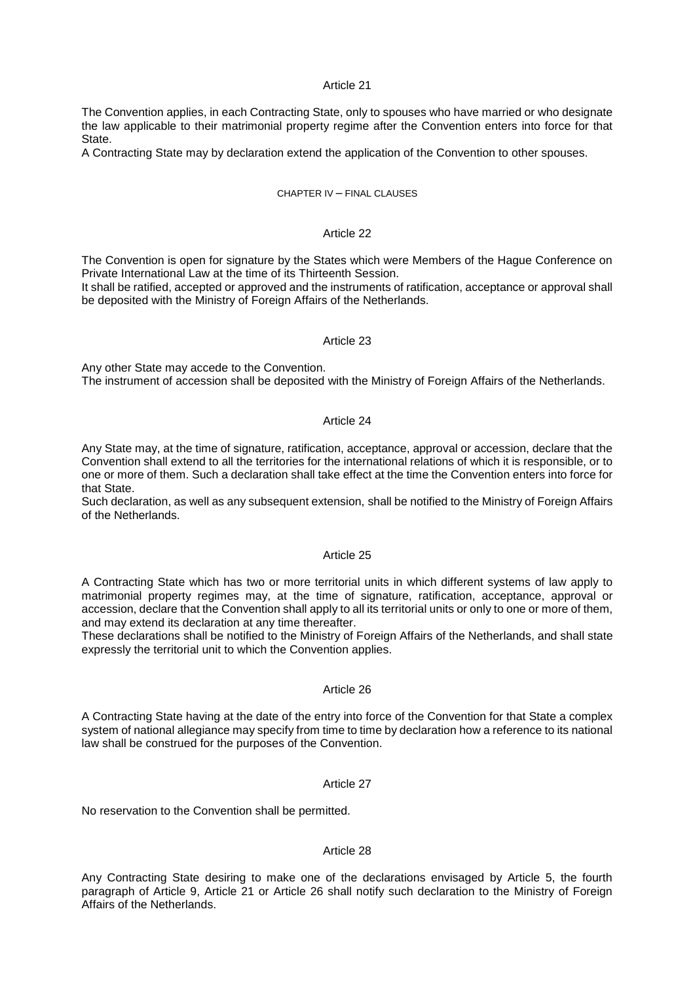### Article 21

The Convention applies, in each Contracting State, only to spouses who have married or who designate the law applicable to their matrimonial property regime after the Convention enters into force for that State.

A Contracting State may by declaration extend the application of the Convention to other spouses.

## CHAPTER IV – FINAL CLAUSES

### Article 22

The Convention is open for signature by the States which were Members of the Hague Conference on Private International Law at the time of its Thirteenth Session.

It shall be ratified, accepted or approved and the instruments of ratification, acceptance or approval shall be deposited with the Ministry of Foreign Affairs of the Netherlands.

### Article 23

Any other State may accede to the Convention.

The instrument of accession shall be deposited with the Ministry of Foreign Affairs of the Netherlands.

### Article 24

Any State may, at the time of signature, ratification, acceptance, approval or accession, declare that the Convention shall extend to all the territories for the international relations of which it is responsible, or to one or more of them. Such a declaration shall take effect at the time the Convention enters into force for that State.

Such declaration, as well as any subsequent extension, shall be notified to the Ministry of Foreign Affairs of the Netherlands.

## Article 25

A Contracting State which has two or more territorial units in which different systems of law apply to matrimonial property regimes may, at the time of signature, ratification, acceptance, approval or accession, declare that the Convention shall apply to all its territorial units or only to one or more of them, and may extend its declaration at any time thereafter.

These declarations shall be notified to the Ministry of Foreign Affairs of the Netherlands, and shall state expressly the territorial unit to which the Convention applies.

# Article 26

A Contracting State having at the date of the entry into force of the Convention for that State a complex system of national allegiance may specify from time to time by declaration how a reference to its national law shall be construed for the purposes of the Convention.

## Article 27

No reservation to the Convention shall be permitted.

## Article 28

Any Contracting State desiring to make one of the declarations envisaged by Article 5, the fourth paragraph of Article 9, Article 21 or Article 26 shall notify such declaration to the Ministry of Foreign Affairs of the Netherlands.